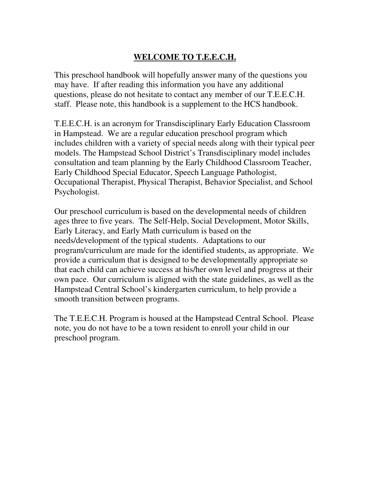## **WELCOME TO T.E.E.C.H.**

This preschool handbook will hopefully answer many of the questions you may have. If after reading this information you have any additional questions, please do not hesitate to contact any member of our T.E.E.C.H. staff. Please note, this handbook is a supplement to the HCS handbook.

T.E.E.C.H. is an acronym for Transdisciplinary Early Education Classroom in Hampstead. We are a regular education preschool program which includes children with a variety of special needs along with their typical peer models. The Hampstead School District's Transdisciplinary model includes consultation and team planning by the Early Childhood Classroom Teacher, Early Childhood Special Educator, Speech Language Pathologist, Occupational Therapist, Physical Therapist, Behavior Specialist, and School Psychologist.

Our preschool curriculum is based on the developmental needs of children ages three to five years. The Self-Help, Social Development, Motor Skills, Early Literacy, and Early Math curriculum is based on the needs/development of the typical students. Adaptations to our program/curriculum are made for the identified students, as appropriate. We provide a curriculum that is designed to be developmentally appropriate so that each child can achieve success at his/her own level and progress at their own pace. Our curriculum is aligned with the state guidelines, as well as the Hampstead Central School's kindergarten curriculum, to help provide a smooth transition between programs.

The T.E.E.C.H. Program is housed at the Hampstead Central School. Please note, you do not have to be a town resident to enroll your child in our preschool program.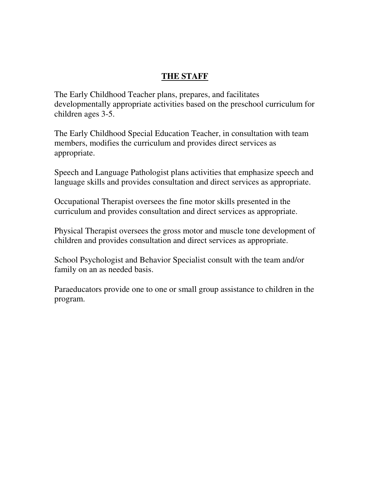#### **THE STAFF**

The Early Childhood Teacher plans, prepares, and facilitates developmentally appropriate activities based on the preschool curriculum for children ages 3-5.

The Early Childhood Special Education Teacher, in consultation with team members, modifies the curriculum and provides direct services as appropriate.

Speech and Language Pathologist plans activities that emphasize speech and language skills and provides consultation and direct services as appropriate.

Occupational Therapist oversees the fine motor skills presented in the curriculum and provides consultation and direct services as appropriate.

Physical Therapist oversees the gross motor and muscle tone development of children and provides consultation and direct services as appropriate.

School Psychologist and Behavior Specialist consult with the team and/or family on an as needed basis.

Paraeducators provide one to one or small group assistance to children in the program.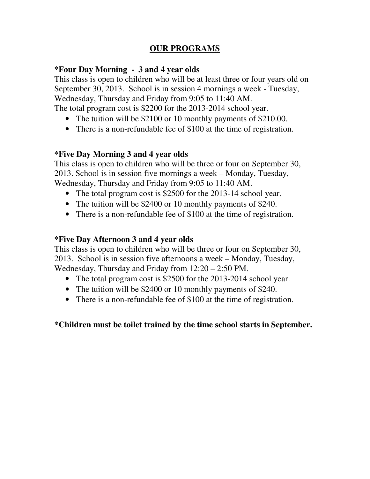## **OUR PROGRAMS**

#### **\*Four Day Morning - 3 and 4 year olds**

This class is open to children who will be at least three or four years old on September 30, 2013. School is in session 4 mornings a week - Tuesday, Wednesday, Thursday and Friday from 9:05 to 11:40 AM.

The total program cost is \$2200 for the 2013-2014 school year.

- The tuition will be \$2100 or 10 monthly payments of \$210.00.
- There is a non-refundable fee of \$100 at the time of registration.

#### **\*Five Day Morning 3 and 4 year olds**

This class is open to children who will be three or four on September 30, 2013. School is in session five mornings a week – Monday, Tuesday, Wednesday, Thursday and Friday from 9:05 to 11:40 AM.

- The total program cost is \$2500 for the 2013-14 school year.
- The tuition will be \$2400 or 10 monthly payments of \$240.
- There is a non-refundable fee of \$100 at the time of registration.

#### **\*Five Day Afternoon 3 and 4 year olds**

This class is open to children who will be three or four on September 30, 2013. School is in session five afternoons a week – Monday, Tuesday, Wednesday, Thursday and Friday from 12:20 – 2:50 PM.

- The total program cost is \$2500 for the 2013-2014 school year.
- The tuition will be \$2400 or 10 monthly payments of \$240.
- There is a non-refundable fee of \$100 at the time of registration.

## **\*Children must be toilet trained by the time school starts in September.**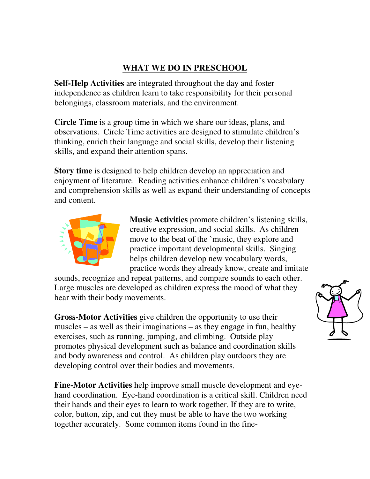# **WHAT WE DO IN PRESCHOOL**

**Self-Help Activities** are integrated throughout the day and foster independence as children learn to take responsibility for their personal belongings, classroom materials, and the environment.

**Circle Time** is a group time in which we share our ideas, plans, and observations. Circle Time activities are designed to stimulate children's thinking, enrich their language and social skills, develop their listening skills, and expand their attention spans.

**Story time** is designed to help children develop an appreciation and enjoyment of literature. Reading activities enhance children's vocabulary and comprehension skills as well as expand their understanding of concepts and content.



**Music Activities** promote children's listening skills, creative expression, and social skills. As children move to the beat of the `music, they explore and practice important developmental skills. Singing helps children develop new vocabulary words, practice words they already know, create and imitate

sounds, recognize and repeat patterns, and compare sounds to each other. Large muscles are developed as children express the mood of what they hear with their body movements.

**Gross-Motor Activities** give children the opportunity to use their muscles – as well as their imaginations – as they engage in fun, healthy exercises, such as running, jumping, and climbing. Outside play promotes physical development such as balance and coordination skills and body awareness and control. As children play outdoors they are developing control over their bodies and movements.

**Fine-Motor Activities** help improve small muscle development and eyehand coordination. Eye-hand coordination is a critical skill. Children need their hands and their eyes to learn to work together. If they are to write, color, button, zip, and cut they must be able to have the two working together accurately. Some common items found in the fine-

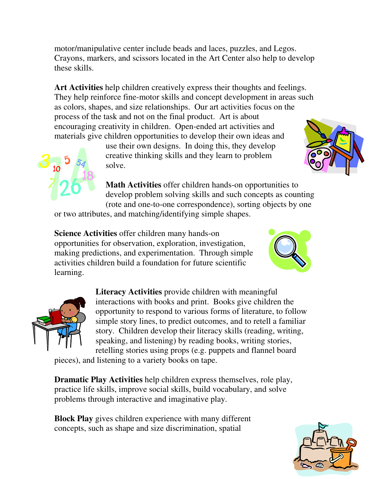motor/manipulative center include beads and laces, puzzles, and Legos. Crayons, markers, and scissors located in the Art Center also help to develop these skills.

**Art Activities** help children creatively express their thoughts and feelings. They help reinforce fine-motor skills and concept development in areas such as colors, shapes, and size relationships. Our art activities focus on the process of the task and not on the final product. Art is about encouraging creativity in children. Open-ended art activities and materials give children opportunities to develop their own ideas and

> use their own designs. In doing this, they develop creative thinking skills and they learn to problem solve.

**Math Activities** offer children hands-on opportunities to develop problem solving skills and such concepts as counting (rote and one-to-one correspondence), sorting objects by one

or two attributes, and matching/identifying simple shapes.

**Science Activities** offer children many hands-on opportunities for observation, exploration, investigation, making predictions, and experimentation. Through simple activities children build a foundation for future scientific learning.

**Literacy Activities** provide children with meaningful interactions with books and print. Books give children the opportunity to respond to various forms of literature, to follow simple story lines, to predict outcomes, and to retell a familiar story. Children develop their literacy skills (reading, writing, speaking, and listening) by reading books, writing stories, retelling stories using props (e.g. puppets and flannel board

pieces), and listening to a variety books on tape.

**Dramatic Play Activities** help children express themselves, role play, practice life skills, improve social skills, build vocabulary, and solve problems through interactive and imaginative play.

**Block Play** gives children experience with many different concepts, such as shape and size discrimination, spatial





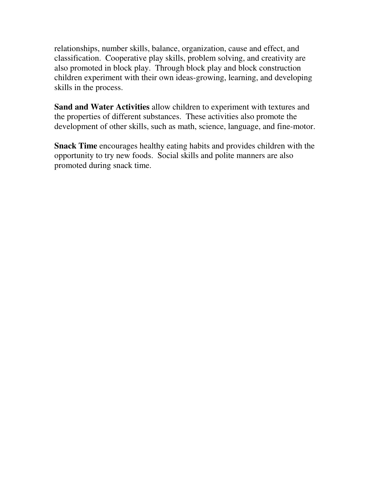relationships, number skills, balance, organization, cause and effect, and classification. Cooperative play skills, problem solving, and creativity are also promoted in block play. Through block play and block construction children experiment with their own ideas-growing, learning, and developing skills in the process.

**Sand and Water Activities** allow children to experiment with textures and the properties of different substances. These activities also promote the development of other skills, such as math, science, language, and fine-motor.

**Snack Time** encourages healthy eating habits and provides children with the opportunity to try new foods. Social skills and polite manners are also promoted during snack time.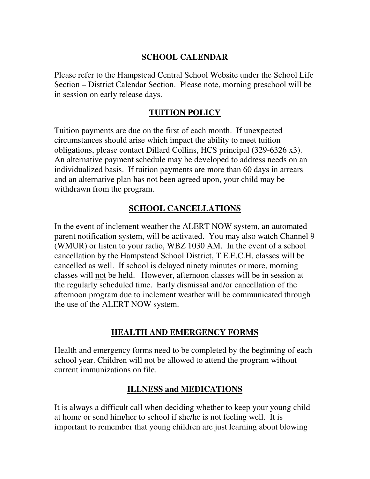## **SCHOOL CALENDAR**

Please refer to the Hampstead Central School Website under the School Life Section – District Calendar Section. Please note, morning preschool will be in session on early release days.

## **TUITION POLICY**

Tuition payments are due on the first of each month. If unexpected circumstances should arise which impact the ability to meet tuition obligations, please contact Dillard Collins, HCS principal (329-6326 x3). An alternative payment schedule may be developed to address needs on an individualized basis. If tuition payments are more than 60 days in arrears and an alternative plan has not been agreed upon, your child may be withdrawn from the program.

## **SCHOOL CANCELLATIONS**

In the event of inclement weather the ALERT NOW system, an automated parent notification system, will be activated. You may also watch Channel 9 (WMUR) or listen to your radio, WBZ 1030 AM. In the event of a school cancellation by the Hampstead School District, T.E.E.C.H. classes will be cancelled as well. If school is delayed ninety minutes or more, morning classes will not be held. However, afternoon classes will be in session at the regularly scheduled time. Early dismissal and/or cancellation of the afternoon program due to inclement weather will be communicated through the use of the ALERT NOW system.

## **HEALTH AND EMERGENCY FORMS**

Health and emergency forms need to be completed by the beginning of each school year. Children will not be allowed to attend the program without current immunizations on file.

## **ILLNESS and MEDICATIONS**

It is always a difficult call when deciding whether to keep your young child at home or send him/her to school if she/he is not feeling well. It is important to remember that young children are just learning about blowing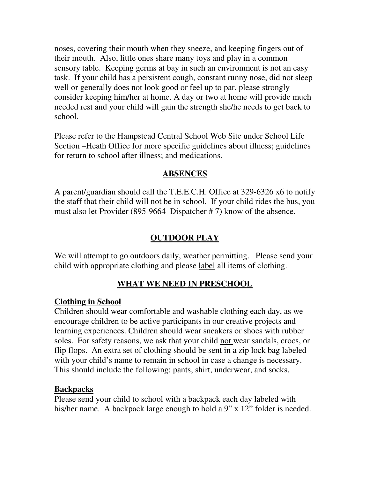noses, covering their mouth when they sneeze, and keeping fingers out of their mouth. Also, little ones share many toys and play in a common sensory table. Keeping germs at bay in such an environment is not an easy task. If your child has a persistent cough, constant runny nose, did not sleep well or generally does not look good or feel up to par, please strongly consider keeping him/her at home. A day or two at home will provide much needed rest and your child will gain the strength she/he needs to get back to school.

Please refer to the Hampstead Central School Web Site under School Life Section –Heath Office for more specific guidelines about illness; guidelines for return to school after illness; and medications.

## **ABSENCES**

A parent/guardian should call the T.E.E.C.H. Office at 329-6326 x6 to notify the staff that their child will not be in school. If your child rides the bus, you must also let Provider (895-9664 Dispatcher # 7) know of the absence.

## **OUTDOOR PLAY**

We will attempt to go outdoors daily, weather permitting. Please send your child with appropriate clothing and please label all items of clothing.

# **WHAT WE NEED IN PRESCHOOL**

## **Clothing in School**

Children should wear comfortable and washable clothing each day, as we encourage children to be active participants in our creative projects and learning experiences. Children should wear sneakers or shoes with rubber soles. For safety reasons, we ask that your child not wear sandals, crocs, or flip flops. An extra set of clothing should be sent in a zip lock bag labeled with your child's name to remain in school in case a change is necessary. This should include the following: pants, shirt, underwear, and socks.

## **Backpacks**

Please send your child to school with a backpack each day labeled with his/her name. A backpack large enough to hold a 9" x 12" folder is needed.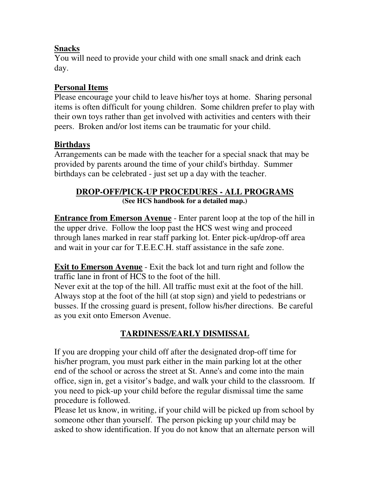## **Snacks**

You will need to provide your child with one small snack and drink each day.

## **Personal Items**

Please encourage your child to leave his/her toys at home. Sharing personal items is often difficult for young children. Some children prefer to play with their own toys rather than get involved with activities and centers with their peers. Broken and/or lost items can be traumatic for your child.

## **Birthdays**

Arrangements can be made with the teacher for a special snack that may be provided by parents around the time of your child's birthday. Summer birthdays can be celebrated - just set up a day with the teacher.

## **DROP-OFF/PICK-UP PROCEDURES - ALL PROGRAMS (See HCS handbook for a detailed map.)**

**Entrance from Emerson Avenue** - Enter parent loop at the top of the hill in the upper drive. Follow the loop past the HCS west wing and proceed through lanes marked in rear staff parking lot. Enter pick-up/drop-off area and wait in your car for T.E.E.C.H. staff assistance in the safe zone.

**Exit to Emerson Avenue** - Exit the back lot and turn right and follow the traffic lane in front of HCS to the foot of the hill.

Never exit at the top of the hill. All traffic must exit at the foot of the hill. Always stop at the foot of the hill (at stop sign) and yield to pedestrians or busses. If the crossing guard is present, follow his/her directions. Be careful as you exit onto Emerson Avenue.

# **TARDINESS/EARLY DISMISSAL**

If you are dropping your child off after the designated drop-off time for his/her program, you must park either in the main parking lot at the other end of the school or across the street at St. Anne's and come into the main office, sign in, get a visitor's badge, and walk your child to the classroom. If you need to pick-up your child before the regular dismissal time the same procedure is followed.

Please let us know, in writing, if your child will be picked up from school by someone other than yourself. The person picking up your child may be asked to show identification. If you do not know that an alternate person will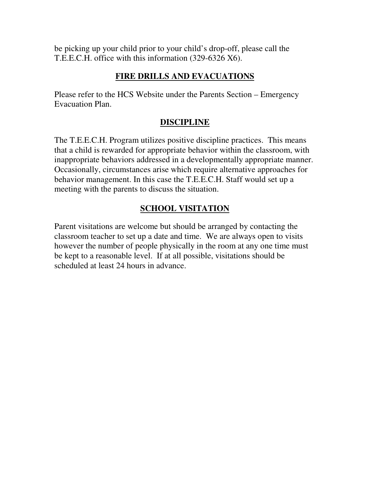be picking up your child prior to your child's drop-off, please call the T.E.E.C.H. office with this information (329-6326 X6).

## **FIRE DRILLS AND EVACUATIONS**

Please refer to the HCS Website under the Parents Section – Emergency Evacuation Plan.

# **DISCIPLINE**

The T.E.E.C.H. Program utilizes positive discipline practices. This means that a child is rewarded for appropriate behavior within the classroom, with inappropriate behaviors addressed in a developmentally appropriate manner. Occasionally, circumstances arise which require alternative approaches for behavior management. In this case the T.E.E.C.H. Staff would set up a meeting with the parents to discuss the situation.

# **SCHOOL VISITATION**

Parent visitations are welcome but should be arranged by contacting the classroom teacher to set up a date and time. We are always open to visits however the number of people physically in the room at any one time must be kept to a reasonable level. If at all possible, visitations should be scheduled at least 24 hours in advance.